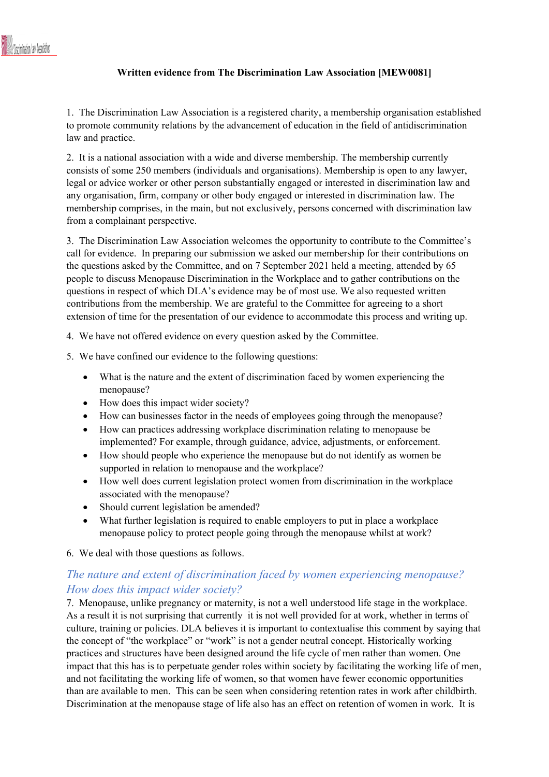#### **Written evidence from The Discrimination Law Association [MEW0081]**

1. The Discrimination Law Association is a registered charity, a membership organisation established to promote community relations by the advancement of education in the field of antidiscrimination law and practice.

2. It is a national association with a wide and diverse membership. The membership currently consists of some 250 members (individuals and organisations). Membership is open to any lawyer, legal or advice worker or other person substantially engaged or interested in discrimination law and any organisation, firm, company or other body engaged or interested in discrimination law. The membership comprises, in the main, but not exclusively, persons concerned with discrimination law from a complainant perspective.

3. The Discrimination Law Association welcomes the opportunity to contribute to the Committee's call for evidence. In preparing our submission we asked our membership for their contributions on the questions asked by the Committee, and on 7 September 2021 held a meeting, attended by 65 people to discuss Menopause Discrimination in the Workplace and to gather contributions on the questions in respect of which DLA's evidence may be of most use. We also requested written contributions from the membership. We are grateful to the Committee for agreeing to a short extension of time for the presentation of our evidence to accommodate this process and writing up.

4. We have not offered evidence on every question asked by the Committee.

- 5. We have confined our evidence to the following questions:
	- What is the nature and the extent of discrimination faced by women experiencing the menopause?
	- How does this impact wider society?
	- How can businesses factor in the needs of employees going through the menopause?
	- How can practices addressing workplace discrimination relating to menopause be implemented? For example, through guidance, advice, adjustments, or enforcement.
	- How should people who experience the menopause but do not identify as women be supported in relation to menopause and the workplace?
	- How well does current legislation protect women from discrimination in the workplace associated with the menopause?
	- Should current legislation be amended?
	- What further legislation is required to enable employers to put in place a workplace menopause policy to protect people going through the menopause whilst at work?

6. We deal with those questions as follows.

# *The nature and extent of discrimination faced by women experiencing menopause? How does this impact wider society?*

7. Menopause, unlike pregnancy or maternity, is not a well understood life stage in the workplace. As a result it is not surprising that currently it is not well provided for at work, whether in terms of culture, training or policies. DLA believes it is important to contextualise this comment by saying that the concept of "the workplace" or "work" is not a gender neutral concept. Historically working practices and structures have been designed around the life cycle of men rather than women. One impact that this has is to perpetuate gender roles within society by facilitating the working life of men, and not facilitating the working life of women, so that women have fewer economic opportunities than are available to men. This can be seen when considering retention rates in work after childbirth. Discrimination at the menopause stage of life also has an effect on retention of women in work. It is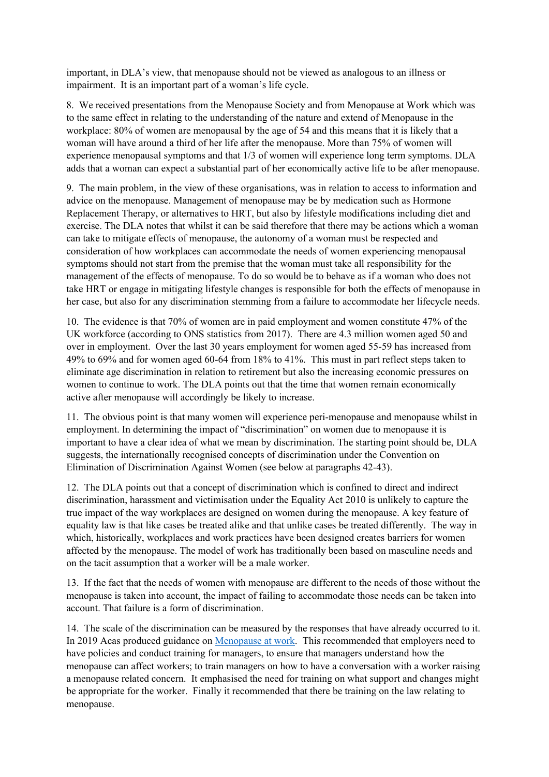important, in DLA's view, that menopause should not be viewed as analogous to an illness or impairment. It is an important part of a woman's life cycle.

8. We received presentations from the Menopause Society and from Menopause at Work which was to the same effect in relating to the understanding of the nature and extend of Menopause in the workplace: 80% of women are menopausal by the age of 54 and this means that it is likely that a woman will have around a third of her life after the menopause. More than 75% of women will experience menopausal symptoms and that 1/3 of women will experience long term symptoms. DLA adds that a woman can expect a substantial part of her economically active life to be after menopause.

9. The main problem, in the view of these organisations, was in relation to access to information and advice on the menopause. Management of menopause may be by medication such as Hormone Replacement Therapy, or alternatives to HRT, but also by lifestyle modifications including diet and exercise. The DLA notes that whilst it can be said therefore that there may be actions which a woman can take to mitigate effects of menopause, the autonomy of a woman must be respected and consideration of how workplaces can accommodate the needs of women experiencing menopausal symptoms should not start from the premise that the woman must take all responsibility for the management of the effects of menopause. To do so would be to behave as if a woman who does not take HRT or engage in mitigating lifestyle changes is responsible for both the effects of menopause in her case, but also for any discrimination stemming from a failure to accommodate her lifecycle needs.

10. The evidence is that 70% of women are in paid employment and women constitute 47% of the UK workforce (according to ONS statistics from 2017). There are 4.3 million women aged 50 and over in employment. Over the last 30 years employment for women aged 55-59 has increased from 49% to 69% and for women aged 60-64 from 18% to 41%. This must in part reflect steps taken to eliminate age discrimination in relation to retirement but also the increasing economic pressures on women to continue to work. The DLA points out that the time that women remain economically active after menopause will accordingly be likely to increase.

11. The obvious point is that many women will experience peri-menopause and menopause whilst in employment. In determining the impact of "discrimination" on women due to menopause it is important to have a clear idea of what we mean by discrimination. The starting point should be, DLA suggests, the internationally recognised concepts of discrimination under the Convention on Elimination of Discrimination Against Women (see below at paragraphs 42-43).

12. The DLA points out that a concept of discrimination which is confined to direct and indirect discrimination, harassment and victimisation under the Equality Act 2010 is unlikely to capture the true impact of the way workplaces are designed on women during the menopause. A key feature of equality law is that like cases be treated alike and that unlike cases be treated differently. The way in which, historically, workplaces and work practices have been designed creates barriers for women affected by the menopause. The model of work has traditionally been based on masculine needs and on the tacit assumption that a worker will be a male worker.

13. If the fact that the needs of women with menopause are different to the needs of those without the menopause is taken into account, the impact of failing to accommodate those needs can be taken into account. That failure is a form of discrimination.

14. The scale of the discrimination can be measured by the responses that have already occurred to it. In 2019 Acas produced guidance on [Menopause](https://webarchive.nationalarchives.gov.uk/ukgwa/20210104111010/https:/archive.acas.org.uk/index.aspx?articleid=6752#Menopause%20and%20the%20law) [at](https://webarchive.nationalarchives.gov.uk/ukgwa/20210104111010/https:/archive.acas.org.uk/index.aspx?articleid=6752#Menopause%20and%20the%20law) [work.](https://webarchive.nationalarchives.gov.uk/ukgwa/20210104111010/https:/archive.acas.org.uk/index.aspx?articleid=6752#Menopause%20and%20the%20law) This recommended that employers need to have policies and conduct training for managers, to ensure that managers understand how the menopause can affect workers; to train managers on how to have a conversation with a worker raising a menopause related concern. It emphasised the need for training on what support and changes might be appropriate for the worker. Finally it recommended that there be training on the law relating to menopause.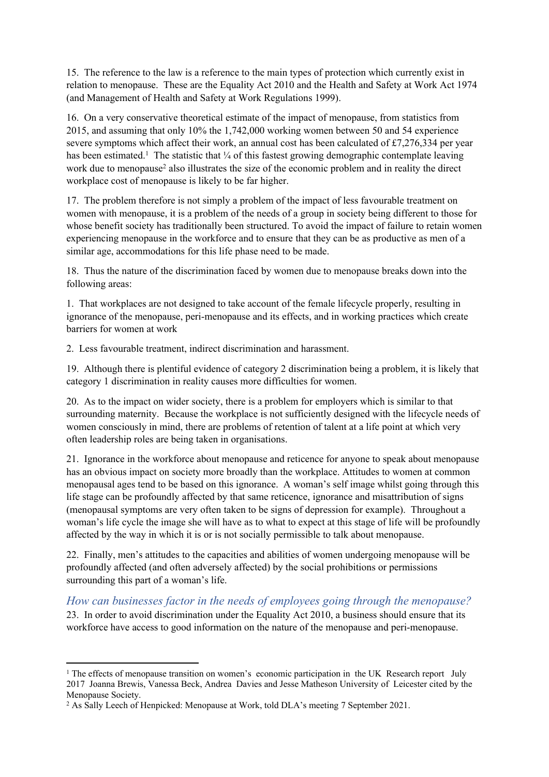15. The reference to the law is a reference to the main types of protection which currently exist in relation to menopause. These are the Equality Act 2010 and the Health and Safety at Work Act 1974 (and Management of Health and Safety at Work Regulations 1999).

16. On a very conservative theoretical estimate of the impact of menopause, from statistics from 2015, and assuming that only 10% the 1,742,000 working women between 50 and 54 experience severe symptoms which affect their work, an annual cost has been calculated of £7,276,334 per year has been estimated.<sup>1</sup> The statistic that 1/4 of this fastest growing demographic contemplate leaving work due to menopause<sup>2</sup> also illustrates the size of the economic problem and in reality the direct workplace cost of menopause is likely to be far higher.

17. The problem therefore is not simply a problem of the impact of less favourable treatment on women with menopause, it is a problem of the needs of a group in society being different to those for whose benefit society has traditionally been structured. To avoid the impact of failure to retain women experiencing menopause in the workforce and to ensure that they can be as productive as men of a similar age, accommodations for this life phase need to be made.

18. Thus the nature of the discrimination faced by women due to menopause breaks down into the following areas:

1. That workplaces are not designed to take account of the female lifecycle properly, resulting in ignorance of the menopause, peri-menopause and its effects, and in working practices which create barriers for women at work

2. Less favourable treatment, indirect discrimination and harassment.

19. Although there is plentiful evidence of category 2 discrimination being a problem, it is likely that category 1 discrimination in reality causes more difficulties for women.

20. As to the impact on wider society, there is a problem for employers which is similar to that surrounding maternity. Because the workplace is not sufficiently designed with the lifecycle needs of women consciously in mind, there are problems of retention of talent at a life point at which very often leadership roles are being taken in organisations.

21. Ignorance in the workforce about menopause and reticence for anyone to speak about menopause has an obvious impact on society more broadly than the workplace. Attitudes to women at common menopausal ages tend to be based on this ignorance. A woman's self image whilst going through this life stage can be profoundly affected by that same reticence, ignorance and misattribution of signs (menopausal symptoms are very often taken to be signs of depression for example). Throughout a woman's life cycle the image she will have as to what to expect at this stage of life will be profoundly affected by the way in which it is or is not socially permissible to talk about menopause.

22. Finally, men's attitudes to the capacities and abilities of women undergoing menopause will be profoundly affected (and often adversely affected) by the social prohibitions or permissions surrounding this part of a woman's life.

*How can businesses factor in the needs of employees going through the menopause?* 23. In order to avoid discrimination under the Equality Act 2010, a business should ensure that its workforce have access to good information on the nature of the menopause and peri-menopause.

<sup>&</sup>lt;sup>1</sup> The effects of menopause transition on women's economic participation in the UK Research report July 2017 Joanna Brewis, Vanessa Beck, Andrea Davies and Jesse Matheson University of Leicester cited by the Menopause Society.

<sup>2</sup> As Sally Leech of Henpicked: Menopause at Work, told DLA's meeting 7 September 2021.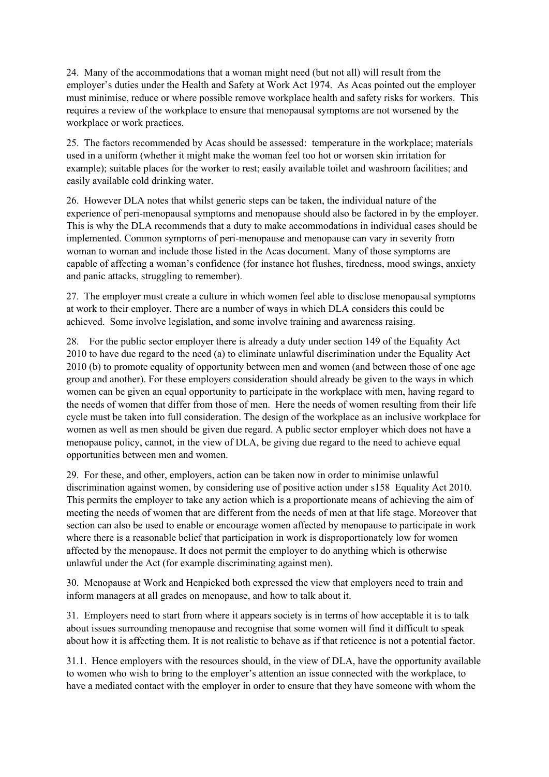24. Many of the accommodations that a woman might need (but not all) will result from the employer's duties under the Health and Safety at Work Act 1974. As Acas pointed out the employer must minimise, reduce or where possible remove workplace health and safety risks for workers. This requires a review of the workplace to ensure that menopausal symptoms are not worsened by the workplace or work practices.

25. The factors recommended by Acas should be assessed: temperature in the workplace; materials used in a uniform (whether it might make the woman feel too hot or worsen skin irritation for example); suitable places for the worker to rest; easily available toilet and washroom facilities; and easily available cold drinking water.

26. However DLA notes that whilst generic steps can be taken, the individual nature of the experience of peri-menopausal symptoms and menopause should also be factored in by the employer. This is why the DLA recommends that a duty to make accommodations in individual cases should be implemented. Common symptoms of peri-menopause and menopause can vary in severity from woman to woman and include those listed in the Acas document. Many of those symptoms are capable of affecting a woman's confidence (for instance hot flushes, tiredness, mood swings, anxiety and panic attacks, struggling to remember).

27. The employer must create a culture in which women feel able to disclose menopausal symptoms at work to their employer. There are a number of ways in which DLA considers this could be achieved. Some involve legislation, and some involve training and awareness raising.

28. For the public sector employer there is already a duty under section 149 of the Equality Act 2010 to have due regard to the need (a) to eliminate unlawful discrimination under the Equality Act 2010 (b) to promote equality of opportunity between men and women (and between those of one age group and another). For these employers consideration should already be given to the ways in which women can be given an equal opportunity to participate in the workplace with men, having regard to the needs of women that differ from those of men. Here the needs of women resulting from their life cycle must be taken into full consideration. The design of the workplace as an inclusive workplace for women as well as men should be given due regard. A public sector employer which does not have a menopause policy, cannot, in the view of DLA, be giving due regard to the need to achieve equal opportunities between men and women.

29. For these, and other, employers, action can be taken now in order to minimise unlawful discrimination against women, by considering use of positive action under s158 Equality Act 2010. This permits the employer to take any action which is a proportionate means of achieving the aim of meeting the needs of women that are different from the needs of men at that life stage. Moreover that section can also be used to enable or encourage women affected by menopause to participate in work where there is a reasonable belief that participation in work is disproportionately low for women affected by the menopause. It does not permit the employer to do anything which is otherwise unlawful under the Act (for example discriminating against men).

30. Menopause at Work and Henpicked both expressed the view that employers need to train and inform managers at all grades on menopause, and how to talk about it.

31. Employers need to start from where it appears society is in terms of how acceptable it is to talk about issues surrounding menopause and recognise that some women will find it difficult to speak about how it is affecting them. It is not realistic to behave as if that reticence is not a potential factor.

31.1. Hence employers with the resources should, in the view of DLA, have the opportunity available to women who wish to bring to the employer's attention an issue connected with the workplace, to have a mediated contact with the employer in order to ensure that they have someone with whom the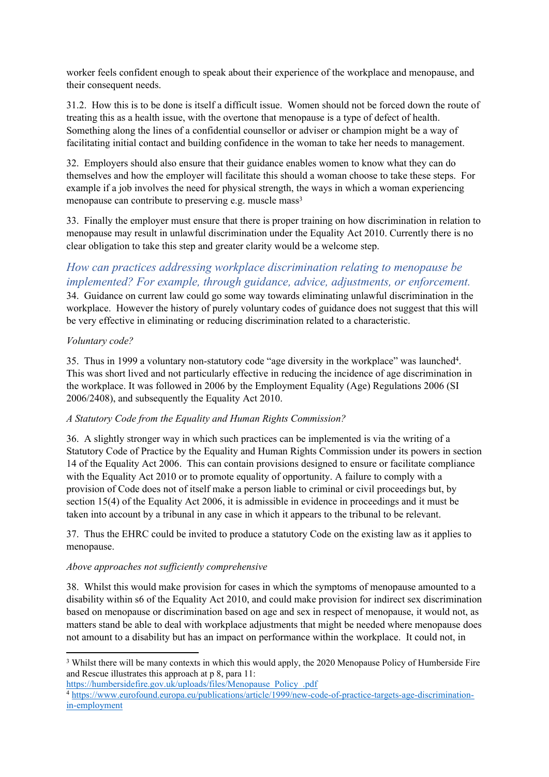worker feels confident enough to speak about their experience of the workplace and menopause, and their consequent needs.

31.2. How this is to be done is itself a difficult issue. Women should not be forced down the route of treating this as a health issue, with the overtone that menopause is a type of defect of health. Something along the lines of a confidential counsellor or adviser or champion might be a way of facilitating initial contact and building confidence in the woman to take her needs to management.

32. Employers should also ensure that their guidance enables women to know what they can do themselves and how the employer will facilitate this should a woman choose to take these steps. For example if a job involves the need for physical strength, the ways in which a woman experiencing menopause can contribute to preserving e.g. muscle mass<sup>3</sup>

33. Finally the employer must ensure that there is proper training on how discrimination in relation to menopause may result in unlawful discrimination under the Equality Act 2010. Currently there is no clear obligation to take this step and greater clarity would be a welcome step.

# *How can practices addressing workplace discrimination relating to menopause be implemented? For example, through guidance, advice, adjustments, or enforcement.*

34. Guidance on current law could go some way towards eliminating unlawful discrimination in the workplace. However the history of purely voluntary codes of guidance does not suggest that this will be very effective in eliminating or reducing discrimination related to a characteristic.

## *Voluntary code?*

35. Thus in 1999 a voluntary non-statutory code "age diversity in the workplace" was launched<sup>4</sup>. This was short lived and not particularly effective in reducing the incidence of age discrimination in the workplace. It was followed in 2006 by the Employment Equality (Age) Regulations 2006 (SI 2006/2408), and subsequently the Equality Act 2010.

## *A Statutory Code from the Equality and Human Rights Commission?*

36. A slightly stronger way in which such practices can be implemented is via the writing of a Statutory Code of Practice by the Equality and Human Rights Commission under its powers in section 14 of the Equality Act 2006. This can contain provisions designed to ensure or facilitate compliance with the Equality Act 2010 or to promote equality of opportunity. A failure to comply with a provision of Code does not of itself make a person liable to criminal or civil proceedings but, by section 15(4) of the Equality Act 2006, it is admissible in evidence in proceedings and it must be taken into account by a tribunal in any case in which it appears to the tribunal to be relevant.

37. Thus the EHRC could be invited to produce a statutory Code on the existing law as it applies to menopause.

## *Above approaches not sufficiently comprehensive*

38. Whilst this would make provision for cases in which the symptoms of menopause amounted to a disability within s6 of the Equality Act 2010, and could make provision for indirect sex discrimination based on menopause or discrimination based on age and sex in respect of menopause, it would not, as matters stand be able to deal with workplace adjustments that might be needed where menopause does not amount to a disability but has an impact on performance within the workplace. It could not, in

[https://humbersidefire.gov.uk/uploads/files/Menopause\\_Policy\\_.pdf](https://humbersidefire.gov.uk/uploads/files/Menopause_Policy_.pdf)

<sup>3</sup> Whilst there will be many contexts in which this would apply, the 2020 Menopause Policy of Humberside Fire and Rescue illustrates this approach at p 8, para 11:

<sup>4</sup> [https://www.eurofound.europa.eu/publications/article/1999/new-code-of-practice-targets-age-discrimination](https://www.eurofound.europa.eu/publications/article/1999/new-code-of-practice-targets-age-discrimination-in-employment)[in-employment](https://www.eurofound.europa.eu/publications/article/1999/new-code-of-practice-targets-age-discrimination-in-employment)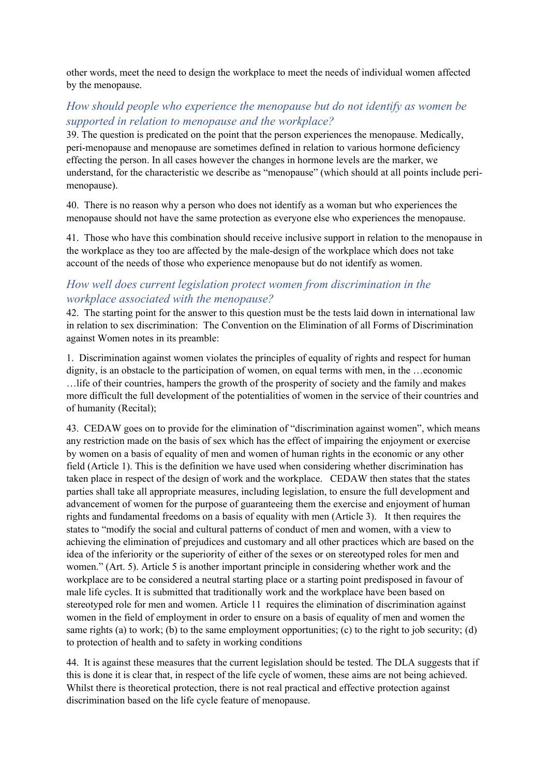other words, meet the need to design the workplace to meet the needs of individual women affected by the menopause.

# *How should people who experience the menopause but do not identify as women be supported in relation to menopause and the workplace?*

39. The question is predicated on the point that the person experiences the menopause. Medically, peri-menopause and menopause are sometimes defined in relation to various hormone deficiency effecting the person. In all cases however the changes in hormone levels are the marker, we understand, for the characteristic we describe as "menopause" (which should at all points include perimenopause).

40. There is no reason why a person who does not identify as a woman but who experiences the menopause should not have the same protection as everyone else who experiences the menopause.

41. Those who have this combination should receive inclusive support in relation to the menopause in the workplace as they too are affected by the male-design of the workplace which does not take account of the needs of those who experience menopause but do not identify as women.

# *How well does current legislation protect women from discrimination in the workplace associated with the menopause?*

42. The starting point for the answer to this question must be the tests laid down in international law in relation to sex discrimination: The Convention on the Elimination of all Forms of Discrimination against Women notes in its preamble:

1. Discrimination against women violates the principles of equality of rights and respect for human dignity, is an obstacle to the participation of women, on equal terms with men, in the …economic …life of their countries, hampers the growth of the prosperity of society and the family and makes more difficult the full development of the potentialities of women in the service of their countries and of humanity (Recital);

43. CEDAW goes on to provide for the elimination of "discrimination against women", which means any restriction made on the basis of sex which has the effect of impairing the enjoyment or exercise by women on a basis of equality of men and women of human rights in the economic or any other field (Article 1). This is the definition we have used when considering whether discrimination has taken place in respect of the design of work and the workplace. CEDAW then states that the states parties shall take all appropriate measures, including legislation, to ensure the full development and advancement of women for the purpose of guaranteeing them the exercise and enjoyment of human rights and fundamental freedoms on a basis of equality with men (Article 3). It then requires the states to "modify the social and cultural patterns of conduct of men and women, with a view to achieving the elimination of prejudices and customary and all other practices which are based on the idea of the inferiority or the superiority of either of the sexes or on stereotyped roles for men and women." (Art. 5). Article 5 is another important principle in considering whether work and the workplace are to be considered a neutral starting place or a starting point predisposed in favour of male life cycles. It is submitted that traditionally work and the workplace have been based on stereotyped role for men and women. Article 11 requires the elimination of discrimination against women in the field of employment in order to ensure on a basis of equality of men and women the same rights (a) to work; (b) to the same employment opportunities; (c) to the right to job security; (d) to protection of health and to safety in working conditions

44. It is against these measures that the current legislation should be tested. The DLA suggests that if this is done it is clear that, in respect of the life cycle of women, these aims are not being achieved. Whilst there is theoretical protection, there is not real practical and effective protection against discrimination based on the life cycle feature of menopause.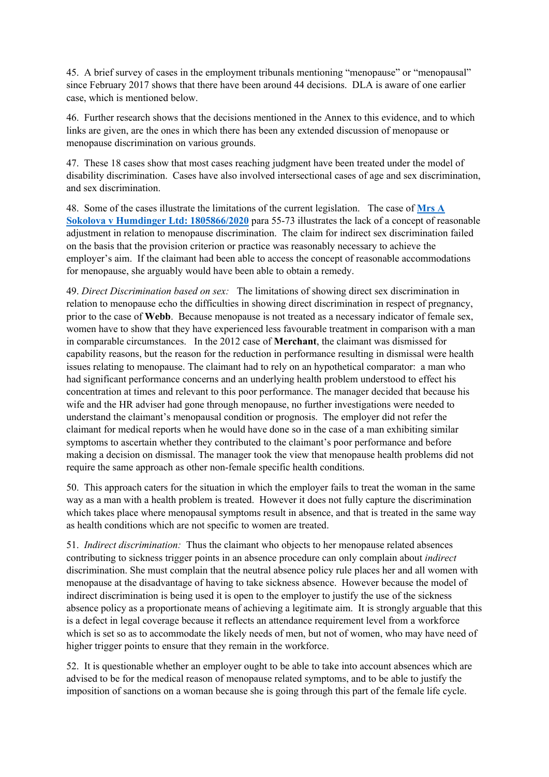45. A brief survey of cases in the employment tribunals mentioning "menopause" or "menopausal" since February 2017 shows that there have been around 44 decisions. DLA is aware of one earlier case, which is mentioned below.

46. Further research shows that the decisions mentioned in the Annex to this evidence, and to which links are given, are the ones in which there has been any extended discussion of menopause or menopause discrimination on various grounds.

47. These 18 cases show that most cases reaching judgment have been treated under the model of disability discrimination. Cases have also involved intersectional cases of age and sex discrimination, and sex discrimination.

48. Some of the cases illustrate the limitations of the current legislation. The case of **[Mrs](https://www.gov.uk/employment-tribunal-decisions/mrs-a-sokolova-v-humdinger-ltd-1805866-slash-2020) [A](https://www.gov.uk/employment-tribunal-decisions/mrs-a-sokolova-v-humdinger-ltd-1805866-slash-2020) [Sokolova](https://www.gov.uk/employment-tribunal-decisions/mrs-a-sokolova-v-humdinger-ltd-1805866-slash-2020) [v](https://www.gov.uk/employment-tribunal-decisions/mrs-a-sokolova-v-humdinger-ltd-1805866-slash-2020) [Humdinger](https://www.gov.uk/employment-tribunal-decisions/mrs-a-sokolova-v-humdinger-ltd-1805866-slash-2020) [Ltd:](https://www.gov.uk/employment-tribunal-decisions/mrs-a-sokolova-v-humdinger-ltd-1805866-slash-2020) [1805866/2020](https://www.gov.uk/employment-tribunal-decisions/mrs-a-sokolova-v-humdinger-ltd-1805866-slash-2020)** para 55-73 illustrates the lack of a concept of reasonable adjustment in relation to menopause discrimination. The claim for indirect sex discrimination failed on the basis that the provision criterion or practice was reasonably necessary to achieve the employer's aim. If the claimant had been able to access the concept of reasonable accommodations for menopause, she arguably would have been able to obtain a remedy.

49. *Direct Discrimination based on sex:* The limitations of showing direct sex discrimination in relation to menopause echo the difficulties in showing direct discrimination in respect of pregnancy, prior to the case of **Webb**. Because menopause is not treated as a necessary indicator of female sex, women have to show that they have experienced less favourable treatment in comparison with a man in comparable circumstances. In the 2012 case of **Merchant**, the claimant was dismissed for capability reasons, but the reason for the reduction in performance resulting in dismissal were health issues relating to menopause. The claimant had to rely on an hypothetical comparator: a man who had significant performance concerns and an underlying health problem understood to effect his concentration at times and relevant to this poor performance. The manager decided that because his wife and the HR adviser had gone through menopause, no further investigations were needed to understand the claimant's menopausal condition or prognosis. The employer did not refer the claimant for medical reports when he would have done so in the case of a man exhibiting similar symptoms to ascertain whether they contributed to the claimant's poor performance and before making a decision on dismissal. The manager took the view that menopause health problems did not require the same approach as other non-female specific health conditions.

50. This approach caters for the situation in which the employer fails to treat the woman in the same way as a man with a health problem is treated. However it does not fully capture the discrimination which takes place where menopausal symptoms result in absence, and that is treated in the same way as health conditions which are not specific to women are treated.

51. *Indirect discrimination:* Thus the claimant who objects to her menopause related absences contributing to sickness trigger points in an absence procedure can only complain about *indirect* discrimination. She must complain that the neutral absence policy rule places her and all women with menopause at the disadvantage of having to take sickness absence. However because the model of indirect discrimination is being used it is open to the employer to justify the use of the sickness absence policy as a proportionate means of achieving a legitimate aim. It is strongly arguable that this is a defect in legal coverage because it reflects an attendance requirement level from a workforce which is set so as to accommodate the likely needs of men, but not of women, who may have need of higher trigger points to ensure that they remain in the workforce.

52. It is questionable whether an employer ought to be able to take into account absences which are advised to be for the medical reason of menopause related symptoms, and to be able to justify the imposition of sanctions on a woman because she is going through this part of the female life cycle.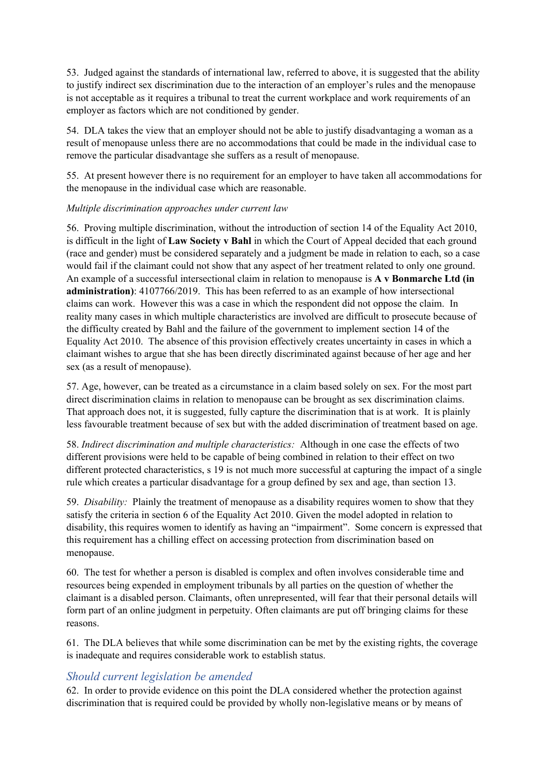53. Judged against the standards of international law, referred to above, it is suggested that the ability to justify indirect sex discrimination due to the interaction of an employer's rules and the menopause is not acceptable as it requires a tribunal to treat the current workplace and work requirements of an employer as factors which are not conditioned by gender.

54. DLA takes the view that an employer should not be able to justify disadvantaging a woman as a result of menopause unless there are no accommodations that could be made in the individual case to remove the particular disadvantage she suffers as a result of menopause.

55. At present however there is no requirement for an employer to have taken all accommodations for the menopause in the individual case which are reasonable.

## *Multiple discrimination approaches under current law*

56. Proving multiple discrimination, without the introduction of section 14 of the Equality Act 2010, is difficult in the light of **Law Society v Bahl** in which the Court of Appeal decided that each ground (race and gender) must be considered separately and a judgment be made in relation to each, so a case would fail if the claimant could not show that any aspect of her treatment related to only one ground. An example of a successful intersectional claim in relation to menopause is **[A](https://www.gov.uk/employment-tribunal-decisions/a-v-bonmarche-ltd-in-administration-4107766-2019) [v](https://www.gov.uk/employment-tribunal-decisions/a-v-bonmarche-ltd-in-administration-4107766-2019) [Bonmarche](https://www.gov.uk/employment-tribunal-decisions/a-v-bonmarche-ltd-in-administration-4107766-2019) [Ltd](https://www.gov.uk/employment-tribunal-decisions/a-v-bonmarche-ltd-in-administration-4107766-2019) [\(in](https://www.gov.uk/employment-tribunal-decisions/a-v-bonmarche-ltd-in-administration-4107766-2019) [administration\)](https://www.gov.uk/employment-tribunal-decisions/a-v-bonmarche-ltd-in-administration-4107766-2019)**[:](https://www.gov.uk/employment-tribunal-decisions/a-v-bonmarche-ltd-in-administration-4107766-2019) [4107766/2019.](https://www.gov.uk/employment-tribunal-decisions/a-v-bonmarche-ltd-in-administration-4107766-2019) This has been referred to as an example of how intersectional claims can work. However this was a case in which the respondent did not oppose the claim. In reality many cases in which multiple characteristics are involved are difficult to prosecute because of the difficulty created by Bahl and the failure of the government to implement section 14 of the Equality Act 2010. The absence of this provision effectively creates uncertainty in cases in which a claimant wishes to argue that she has been directly discriminated against because of her age and her sex (as a result of menopause).

57. Age, however, can be treated as a circumstance in a claim based solely on sex. For the most part direct discrimination claims in relation to menopause can be brought as sex discrimination claims. That approach does not, it is suggested, fully capture the discrimination that is at work. It is plainly less favourable treatment because of sex but with the added discrimination of treatment based on age.

58. *Indirect discrimination and multiple characteristics:* Although in one case the effects of two different provisions were held to be capable of being combined in relation to their effect on two different protected characteristics, s 19 is not much more successful at capturing the impact of a single rule which creates a particular disadvantage for a group defined by sex and age, than section 13.

59. *Disability:* Plainly the treatment of menopause as a disability requires women to show that they satisfy the criteria in section 6 of the Equality Act 2010. Given the model adopted in relation to disability, this requires women to identify as having an "impairment". Some concern is expressed that this requirement has a chilling effect on accessing protection from discrimination based on menopause.

60. The test for whether a person is disabled is complex and often involves considerable time and resources being expended in employment tribunals by all parties on the question of whether the claimant is a disabled person. Claimants, often unrepresented, will fear that their personal details will form part of an online judgment in perpetuity. Often claimants are put off bringing claims for these reasons.

61. The DLA believes that while some discrimination can be met by the existing rights, the coverage is inadequate and requires considerable work to establish status.

## *Should current legislation be amended*

62. In order to provide evidence on this point the DLA considered whether the protection against discrimination that is required could be provided by wholly non-legislative means or by means of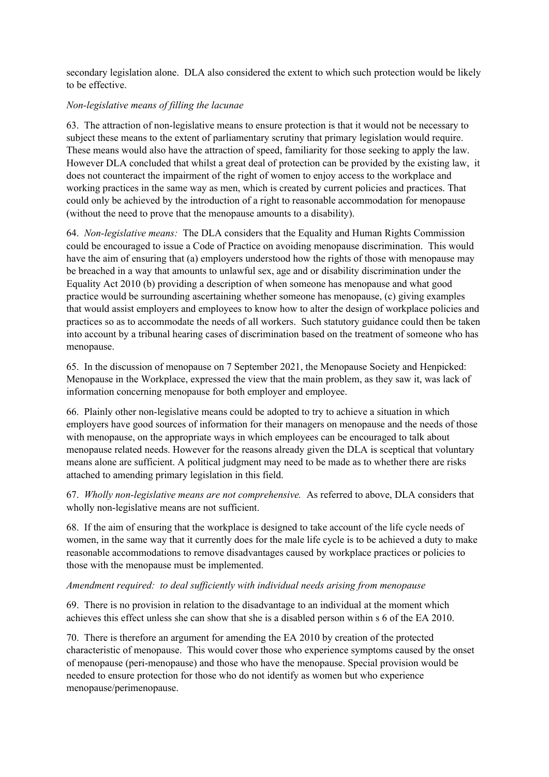secondary legislation alone. DLA also considered the extent to which such protection would be likely to be effective.

#### *Non-legislative means of filling the lacunae*

63. The attraction of non-legislative means to ensure protection is that it would not be necessary to subject these means to the extent of parliamentary scrutiny that primary legislation would require. These means would also have the attraction of speed, familiarity for those seeking to apply the law. However DLA concluded that whilst a great deal of protection can be provided by the existing law, it does not counteract the impairment of the right of women to enjoy access to the workplace and working practices in the same way as men, which is created by current policies and practices. That could only be achieved by the introduction of a right to reasonable accommodation for menopause (without the need to prove that the menopause amounts to a disability).

64. *Non-legislative means:* The DLA considers that the Equality and Human Rights Commission could be encouraged to issue a Code of Practice on avoiding menopause discrimination. This would have the aim of ensuring that (a) employers understood how the rights of those with menopause may be breached in a way that amounts to unlawful sex, age and or disability discrimination under the Equality Act 2010 (b) providing a description of when someone has menopause and what good practice would be surrounding ascertaining whether someone has menopause, (c) giving examples that would assist employers and employees to know how to alter the design of workplace policies and practices so as to accommodate the needs of all workers. Such statutory guidance could then be taken into account by a tribunal hearing cases of discrimination based on the treatment of someone who has menopause.

65. In the discussion of menopause on 7 September 2021, the Menopause Society and Henpicked: Menopause in the Workplace, expressed the view that the main problem, as they saw it, was lack of information concerning menopause for both employer and employee.

66. Plainly other non-legislative means could be adopted to try to achieve a situation in which employers have good sources of information for their managers on menopause and the needs of those with menopause, on the appropriate ways in which employees can be encouraged to talk about menopause related needs. However for the reasons already given the DLA is sceptical that voluntary means alone are sufficient. A political judgment may need to be made as to whether there are risks attached to amending primary legislation in this field.

67. *Wholly non-legislative means are not comprehensive.* As referred to above, DLA considers that wholly non-legislative means are not sufficient.

68. If the aim of ensuring that the workplace is designed to take account of the life cycle needs of women, in the same way that it currently does for the male life cycle is to be achieved a duty to make reasonable accommodations to remove disadvantages caused by workplace practices or policies to those with the menopause must be implemented.

#### *Amendment required: to deal sufficiently with individual needs arising from menopause*

69. There is no provision in relation to the disadvantage to an individual at the moment which achieves this effect unless she can show that she is a disabled person within s 6 of the EA 2010.

70. There is therefore an argument for amending the EA 2010 by creation of the protected characteristic of menopause. This would cover those who experience symptoms caused by the onset of menopause (peri-menopause) and those who have the menopause. Special provision would be needed to ensure protection for those who do not identify as women but who experience menopause/perimenopause.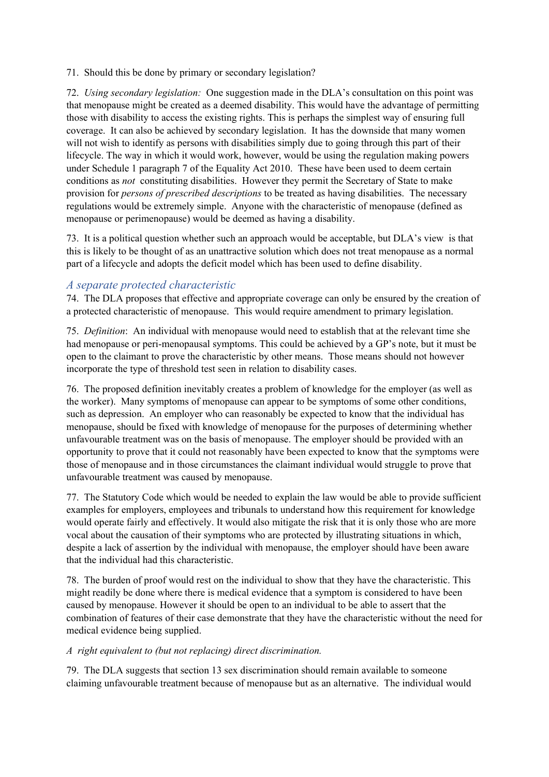71. Should this be done by primary or secondary legislation?

72. *Using secondary legislation:* One suggestion made in the DLA's consultation on this point was that menopause might be created as a deemed disability. This would have the advantage of permitting those with disability to access the existing rights. This is perhaps the simplest way of ensuring full coverage. It can also be achieved by secondary legislation. It has the downside that many women will not wish to identify as persons with disabilities simply due to going through this part of their lifecycle. The way in which it would work, however, would be using the regulation making powers under Schedule 1 paragraph 7 of the Equality Act 2010. These have been used to deem certain conditions as *not* constituting disabilities. However they permit the Secretary of State to make provision for *persons of prescribed descriptions* to be treated as having disabilities. The necessary regulations would be extremely simple. Anyone with the characteristic of menopause (defined as menopause or perimenopause) would be deemed as having a disability.

73. It is a political question whether such an approach would be acceptable, but DLA's view is that this is likely to be thought of as an unattractive solution which does not treat menopause as a normal part of a lifecycle and adopts the deficit model which has been used to define disability.

## *A separate protected characteristic*

74. The DLA proposes that effective and appropriate coverage can only be ensured by the creation of a protected characteristic of menopause. This would require amendment to primary legislation.

75. *Definition*: An individual with menopause would need to establish that at the relevant time she had menopause or peri-menopausal symptoms. This could be achieved by a GP's note, but it must be open to the claimant to prove the characteristic by other means. Those means should not however incorporate the type of threshold test seen in relation to disability cases.

76. The proposed definition inevitably creates a problem of knowledge for the employer (as well as the worker). Many symptoms of menopause can appear to be symptoms of some other conditions, such as depression. An employer who can reasonably be expected to know that the individual has menopause, should be fixed with knowledge of menopause for the purposes of determining whether unfavourable treatment was on the basis of menopause. The employer should be provided with an opportunity to prove that it could not reasonably have been expected to know that the symptoms were those of menopause and in those circumstances the claimant individual would struggle to prove that unfavourable treatment was caused by menopause.

77. The Statutory Code which would be needed to explain the law would be able to provide sufficient examples for employers, employees and tribunals to understand how this requirement for knowledge would operate fairly and effectively. It would also mitigate the risk that it is only those who are more vocal about the causation of their symptoms who are protected by illustrating situations in which, despite a lack of assertion by the individual with menopause, the employer should have been aware that the individual had this characteristic.

78. The burden of proof would rest on the individual to show that they have the characteristic. This might readily be done where there is medical evidence that a symptom is considered to have been caused by menopause. However it should be open to an individual to be able to assert that the combination of features of their case demonstrate that they have the characteristic without the need for medical evidence being supplied.

## *A right equivalent to (but not replacing) direct discrimination.*

79. The DLA suggests that section 13 sex discrimination should remain available to someone claiming unfavourable treatment because of menopause but as an alternative. The individual would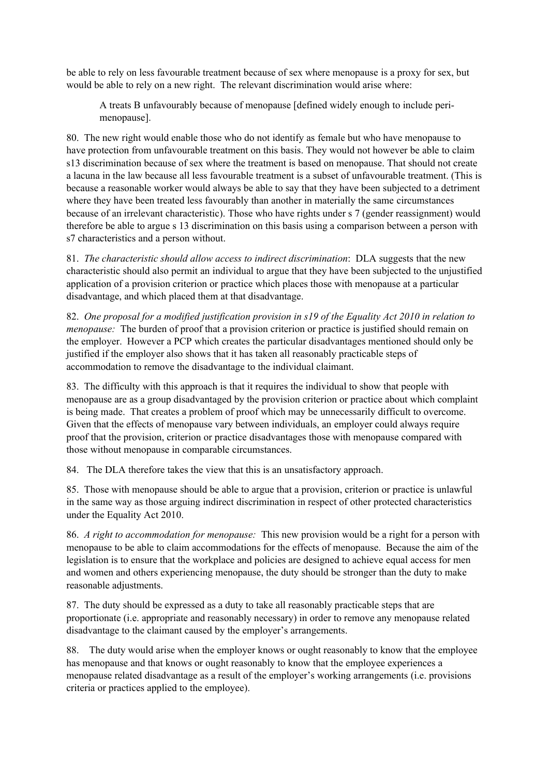be able to rely on less favourable treatment because of sex where menopause is a proxy for sex, but would be able to rely on a new right. The relevant discrimination would arise where:

A treats B unfavourably because of menopause [defined widely enough to include perimenopause].

80. The new right would enable those who do not identify as female but who have menopause to have protection from unfavourable treatment on this basis. They would not however be able to claim s13 discrimination because of sex where the treatment is based on menopause. That should not create a lacuna in the law because all less favourable treatment is a subset of unfavourable treatment. (This is because a reasonable worker would always be able to say that they have been subjected to a detriment where they have been treated less favourably than another in materially the same circumstances because of an irrelevant characteristic). Those who have rights under s 7 (gender reassignment) would therefore be able to argue s 13 discrimination on this basis using a comparison between a person with s7 characteristics and a person without.

81. *The characteristic should allow access to indirect discrimination*: DLA suggests that the new characteristic should also permit an individual to argue that they have been subjected to the unjustified application of a provision criterion or practice which places those with menopause at a particular disadvantage, and which placed them at that disadvantage.

82. *One proposal for a modified justification provision in s19 of the Equality Act 2010 in relation to menopause:* The burden of proof that a provision criterion or practice is justified should remain on the employer. However a PCP which creates the particular disadvantages mentioned should only be justified if the employer also shows that it has taken all reasonably practicable steps of accommodation to remove the disadvantage to the individual claimant.

83. The difficulty with this approach is that it requires the individual to show that people with menopause are as a group disadvantaged by the provision criterion or practice about which complaint is being made. That creates a problem of proof which may be unnecessarily difficult to overcome. Given that the effects of menopause vary between individuals, an employer could always require proof that the provision, criterion or practice disadvantages those with menopause compared with those without menopause in comparable circumstances.

84. The DLA therefore takes the view that this is an unsatisfactory approach.

85. Those with menopause should be able to argue that a provision, criterion or practice is unlawful in the same way as those arguing indirect discrimination in respect of other protected characteristics under the Equality Act 2010.

86. *A right to accommodation for menopause:* This new provision would be a right for a person with menopause to be able to claim accommodations for the effects of menopause. Because the aim of the legislation is to ensure that the workplace and policies are designed to achieve equal access for men and women and others experiencing menopause, the duty should be stronger than the duty to make reasonable adjustments.

87. The duty should be expressed as a duty to take all reasonably practicable steps that are proportionate (i.e. appropriate and reasonably necessary) in order to remove any menopause related disadvantage to the claimant caused by the employer's arrangements.

88. The duty would arise when the employer knows or ought reasonably to know that the employee has menopause and that knows or ought reasonably to know that the employee experiences a menopause related disadvantage as a result of the employer's working arrangements (i.e. provisions criteria or practices applied to the employee).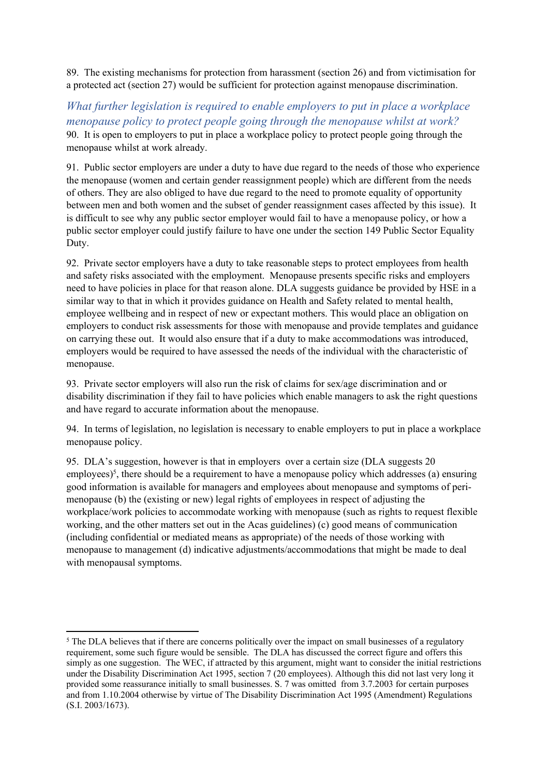89. The existing mechanisms for protection from harassment (section 26) and from victimisation for a protected act (section 27) would be sufficient for protection against menopause discrimination.

*What further legislation is required to enable employers to put in place a workplace menopause policy to protect people going through the menopause whilst at work?* 90. It is open to employers to put in place a workplace policy to protect people going through the menopause whilst at work already.

91. Public sector employers are under a duty to have due regard to the needs of those who experience the menopause (women and certain gender reassignment people) which are different from the needs of others. They are also obliged to have due regard to the need to promote equality of opportunity between men and both women and the subset of gender reassignment cases affected by this issue). It is difficult to see why any public sector employer would fail to have a menopause policy, or how a public sector employer could justify failure to have one under the section 149 Public Sector Equality Duty.

92. Private sector employers have a duty to take reasonable steps to protect employees from health and safety risks associated with the employment. Menopause presents specific risks and employers need to have policies in place for that reason alone. DLA suggests guidance be provided by HSE in a similar way to that in which it provides guidance on Health and Safety related to mental health, employee wellbeing and in respect of new or expectant mothers. This would place an obligation on employers to conduct risk assessments for those with menopause and provide templates and guidance on carrying these out. It would also ensure that if a duty to make accommodations was introduced, employers would be required to have assessed the needs of the individual with the characteristic of menopause.

93. Private sector employers will also run the risk of claims for sex/age discrimination and or disability discrimination if they fail to have policies which enable managers to ask the right questions and have regard to accurate information about the menopause.

94. In terms of legislation, no legislation is necessary to enable employers to put in place a workplace menopause policy.

95. DLA's suggestion, however is that in employers over a certain size (DLA suggests 20 employees)<sup>5</sup>, there should be a requirement to have a menopause policy which addresses (a) ensuring good information is available for managers and employees about menopause and symptoms of perimenopause (b) the (existing or new) legal rights of employees in respect of adjusting the workplace/work policies to accommodate working with menopause (such as rights to request flexible working, and the other matters set out in the Acas guidelines) (c) good means of communication (including confidential or mediated means as appropriate) of the needs of those working with menopause to management (d) indicative adjustments/accommodations that might be made to deal with menopausal symptoms.

<sup>&</sup>lt;sup>5</sup> The DLA believes that if there are concerns politically over the impact on small businesses of a regulatory requirement, some such figure would be sensible. The DLA has discussed the correct figure and offers this simply as one suggestion. The WEC, if attracted by this argument, might want to consider the initial restrictions under the Disability Discrimination Act 1995, section 7 (20 employees). Although this did not last very long it provided some reassurance initially to small businesses. S. 7 was omitted from 3.7.2003 for certain purposes and from 1.10.2004 otherwise by virtue of The Disability Discrimination Act 1995 (Amendment) Regulations (S.I. 2003/1673).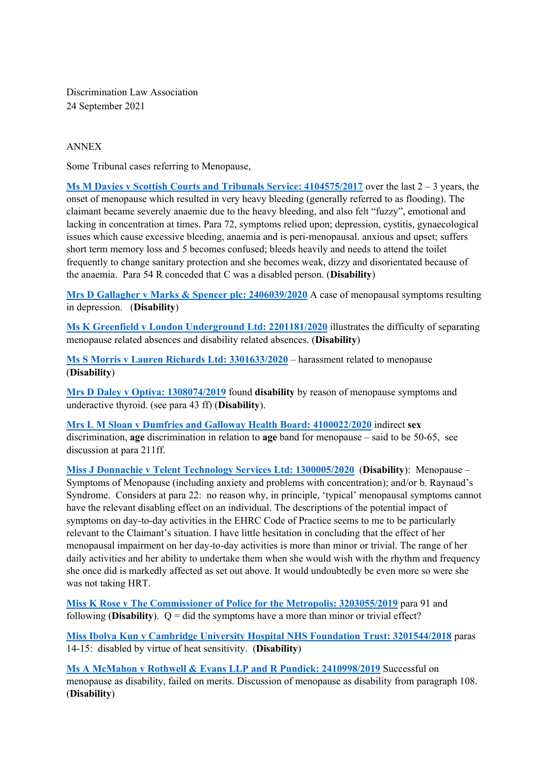Discrimination Law Association 24 September 2021

#### ANNEX

Some Tribunal cases referring to Menopause,

**[Ms](https://www.gov.uk/employment-tribunal-decisions/ms-m-davies-v-scottish-courts-and-tribunals-service-4104575-2017) [M](https://www.gov.uk/employment-tribunal-decisions/ms-m-davies-v-scottish-courts-and-tribunals-service-4104575-2017) [Davies](https://www.gov.uk/employment-tribunal-decisions/ms-m-davies-v-scottish-courts-and-tribunals-service-4104575-2017) [v](https://www.gov.uk/employment-tribunal-decisions/ms-m-davies-v-scottish-courts-and-tribunals-service-4104575-2017) [Scottish](https://www.gov.uk/employment-tribunal-decisions/ms-m-davies-v-scottish-courts-and-tribunals-service-4104575-2017) [Courts](https://www.gov.uk/employment-tribunal-decisions/ms-m-davies-v-scottish-courts-and-tribunals-service-4104575-2017) [and](https://www.gov.uk/employment-tribunal-decisions/ms-m-davies-v-scottish-courts-and-tribunals-service-4104575-2017) [Tribunals](https://www.gov.uk/employment-tribunal-decisions/ms-m-davies-v-scottish-courts-and-tribunals-service-4104575-2017) [Service:](https://www.gov.uk/employment-tribunal-decisions/ms-m-davies-v-scottish-courts-and-tribunals-service-4104575-2017) [4104575/2017](https://www.gov.uk/employment-tribunal-decisions/ms-m-davies-v-scottish-courts-and-tribunals-service-4104575-2017)** over the last 2 – 3 years, the onset of menopause which resulted in very heavy bleeding (generally referred to as flooding). The claimant became severely anaemic due to the heavy bleeding, and also felt "fuzzy", emotional and lacking in concentration at times. Para 72, symptoms relied upon; depression, cystitis, gynaecological issues which cause excessive bleeding, anaemia and is peri-menopausal. anxious and upset; suffers short term memory loss and 5 becomes confused; bleeds heavily and needs to attend the toilet frequently to change sanitary protection and she becomes weak, dizzy and disorientated because of the anaemia. Para 54 R conceded that C was a disabled person. (**Disability**)

**[Mrs](https://www.gov.uk/employment-tribunal-decisions/mrs-d-gallagher-v-marks-and-spencer-plc-2406039-slash-2020) [D](https://www.gov.uk/employment-tribunal-decisions/mrs-d-gallagher-v-marks-and-spencer-plc-2406039-slash-2020) [Gallagher](https://www.gov.uk/employment-tribunal-decisions/mrs-d-gallagher-v-marks-and-spencer-plc-2406039-slash-2020) [v](https://www.gov.uk/employment-tribunal-decisions/mrs-d-gallagher-v-marks-and-spencer-plc-2406039-slash-2020) [Marks](https://www.gov.uk/employment-tribunal-decisions/mrs-d-gallagher-v-marks-and-spencer-plc-2406039-slash-2020) [&](https://www.gov.uk/employment-tribunal-decisions/mrs-d-gallagher-v-marks-and-spencer-plc-2406039-slash-2020) [Spencer](https://www.gov.uk/employment-tribunal-decisions/mrs-d-gallagher-v-marks-and-spencer-plc-2406039-slash-2020) [plc:](https://www.gov.uk/employment-tribunal-decisions/mrs-d-gallagher-v-marks-and-spencer-plc-2406039-slash-2020) [2406039/2020](https://www.gov.uk/employment-tribunal-decisions/mrs-d-gallagher-v-marks-and-spencer-plc-2406039-slash-2020)** A case of menopausal symptoms resulting in depression. (**Disability**)

**[Ms](https://www.gov.uk/employment-tribunal-decisions/ms-k-greenfield-v-london-underground-ltd-2201181-slash-2020) [K](https://www.gov.uk/employment-tribunal-decisions/ms-k-greenfield-v-london-underground-ltd-2201181-slash-2020) [Greenfield](https://www.gov.uk/employment-tribunal-decisions/ms-k-greenfield-v-london-underground-ltd-2201181-slash-2020) [v](https://www.gov.uk/employment-tribunal-decisions/ms-k-greenfield-v-london-underground-ltd-2201181-slash-2020) [London](https://www.gov.uk/employment-tribunal-decisions/ms-k-greenfield-v-london-underground-ltd-2201181-slash-2020) [Underground](https://www.gov.uk/employment-tribunal-decisions/ms-k-greenfield-v-london-underground-ltd-2201181-slash-2020) [Ltd:](https://www.gov.uk/employment-tribunal-decisions/ms-k-greenfield-v-london-underground-ltd-2201181-slash-2020) [2201181/2020](https://www.gov.uk/employment-tribunal-decisions/ms-k-greenfield-v-london-underground-ltd-2201181-slash-2020)** illustrates the difficulty of separating menopause related absences and disability related absences. (**Disability**)

**[Ms](https://www.gov.uk/employment-tribunal-decisions/ms-s-morris-v-lauren-richards-ltd-3301633-slash-2020) [S](https://www.gov.uk/employment-tribunal-decisions/ms-s-morris-v-lauren-richards-ltd-3301633-slash-2020) [Morris](https://www.gov.uk/employment-tribunal-decisions/ms-s-morris-v-lauren-richards-ltd-3301633-slash-2020) [v](https://www.gov.uk/employment-tribunal-decisions/ms-s-morris-v-lauren-richards-ltd-3301633-slash-2020) [Lauren](https://www.gov.uk/employment-tribunal-decisions/ms-s-morris-v-lauren-richards-ltd-3301633-slash-2020) [Richards](https://www.gov.uk/employment-tribunal-decisions/ms-s-morris-v-lauren-richards-ltd-3301633-slash-2020) [Ltd:](https://www.gov.uk/employment-tribunal-decisions/ms-s-morris-v-lauren-richards-ltd-3301633-slash-2020) [3301633/2020](https://www.gov.uk/employment-tribunal-decisions/ms-s-morris-v-lauren-richards-ltd-3301633-slash-2020)** – harassment related to menopause (**Disability**)

**[Mrs](https://www.gov.uk/employment-tribunal-decisions/mrs-d-daley-v-optiva-1308074-slash-2019) [D](https://www.gov.uk/employment-tribunal-decisions/mrs-d-daley-v-optiva-1308074-slash-2019) [Daley](https://www.gov.uk/employment-tribunal-decisions/mrs-d-daley-v-optiva-1308074-slash-2019) [v](https://www.gov.uk/employment-tribunal-decisions/mrs-d-daley-v-optiva-1308074-slash-2019) [Optiva:](https://www.gov.uk/employment-tribunal-decisions/mrs-d-daley-v-optiva-1308074-slash-2019) [1308074/2019](https://www.gov.uk/employment-tribunal-decisions/mrs-d-daley-v-optiva-1308074-slash-2019)** found **disability** by reason of menopause symptoms and underactive thyroid. (see para 43 ff) (**Disability**).

**[Mrs](https://www.gov.uk/employment-tribunal-decisions/mrs-l-m-sloan-v-dumfries-and-galloway-health-board-4100022-slash-2020) [L](https://www.gov.uk/employment-tribunal-decisions/mrs-l-m-sloan-v-dumfries-and-galloway-health-board-4100022-slash-2020) [M](https://www.gov.uk/employment-tribunal-decisions/mrs-l-m-sloan-v-dumfries-and-galloway-health-board-4100022-slash-2020) [Sloan](https://www.gov.uk/employment-tribunal-decisions/mrs-l-m-sloan-v-dumfries-and-galloway-health-board-4100022-slash-2020) [v](https://www.gov.uk/employment-tribunal-decisions/mrs-l-m-sloan-v-dumfries-and-galloway-health-board-4100022-slash-2020) [Dumfries](https://www.gov.uk/employment-tribunal-decisions/mrs-l-m-sloan-v-dumfries-and-galloway-health-board-4100022-slash-2020) [and](https://www.gov.uk/employment-tribunal-decisions/mrs-l-m-sloan-v-dumfries-and-galloway-health-board-4100022-slash-2020) [Galloway](https://www.gov.uk/employment-tribunal-decisions/mrs-l-m-sloan-v-dumfries-and-galloway-health-board-4100022-slash-2020) [Health](https://www.gov.uk/employment-tribunal-decisions/mrs-l-m-sloan-v-dumfries-and-galloway-health-board-4100022-slash-2020) [Board:](https://www.gov.uk/employment-tribunal-decisions/mrs-l-m-sloan-v-dumfries-and-galloway-health-board-4100022-slash-2020) [4100022/2020](https://www.gov.uk/employment-tribunal-decisions/mrs-l-m-sloan-v-dumfries-and-galloway-health-board-4100022-slash-2020)** indirect **sex** discrimination, **age** discrimination in relation to **age** band for menopause – said to be 50-65, see discussion at para 211ff.

**[Miss](https://www.gov.uk/employment-tribunal-decisions/miss-j-donnachie-v-telent-technology-services-ltd-1300005-2020) [J](https://www.gov.uk/employment-tribunal-decisions/miss-j-donnachie-v-telent-technology-services-ltd-1300005-2020) [Donnachie](https://www.gov.uk/employment-tribunal-decisions/miss-j-donnachie-v-telent-technology-services-ltd-1300005-2020) [v](https://www.gov.uk/employment-tribunal-decisions/miss-j-donnachie-v-telent-technology-services-ltd-1300005-2020) [Telent](https://www.gov.uk/employment-tribunal-decisions/miss-j-donnachie-v-telent-technology-services-ltd-1300005-2020) [Technology](https://www.gov.uk/employment-tribunal-decisions/miss-j-donnachie-v-telent-technology-services-ltd-1300005-2020) [Services](https://www.gov.uk/employment-tribunal-decisions/miss-j-donnachie-v-telent-technology-services-ltd-1300005-2020) [Ltd:](https://www.gov.uk/employment-tribunal-decisions/miss-j-donnachie-v-telent-technology-services-ltd-1300005-2020) [1300005/2020](https://www.gov.uk/employment-tribunal-decisions/miss-j-donnachie-v-telent-technology-services-ltd-1300005-2020)** (**Disability**): Menopause – Symptoms of Menopause (including anxiety and problems with concentration); and/or b. Raynaud's Syndrome. Considers at para 22: no reason why, in principle, 'typical' menopausal symptoms cannot have the relevant disabling effect on an individual. The descriptions of the potential impact of symptoms on day-to-day activities in the EHRC Code of Practice seems to me to be particularly relevant to the Claimant's situation. I have little hesitation in concluding that the effect of her menopausal impairment on her day-to-day activities is more than minor or trivial. The range of her daily activities and her ability to undertake them when she would wish with the rhythm and frequency she once did is markedly affected as set out above. It would undoubtedly be even more so were she was not taking HRT.

**[Miss](https://www.gov.uk/employment-tribunal-decisions/miss-k-rose-v-the-commissioner-of-police-for-the-metropolis-3203055-slash-2019) [K](https://www.gov.uk/employment-tribunal-decisions/miss-k-rose-v-the-commissioner-of-police-for-the-metropolis-3203055-slash-2019) [Rose](https://www.gov.uk/employment-tribunal-decisions/miss-k-rose-v-the-commissioner-of-police-for-the-metropolis-3203055-slash-2019) [v](https://www.gov.uk/employment-tribunal-decisions/miss-k-rose-v-the-commissioner-of-police-for-the-metropolis-3203055-slash-2019) [The](https://www.gov.uk/employment-tribunal-decisions/miss-k-rose-v-the-commissioner-of-police-for-the-metropolis-3203055-slash-2019) [Commissioner](https://www.gov.uk/employment-tribunal-decisions/miss-k-rose-v-the-commissioner-of-police-for-the-metropolis-3203055-slash-2019) [of](https://www.gov.uk/employment-tribunal-decisions/miss-k-rose-v-the-commissioner-of-police-for-the-metropolis-3203055-slash-2019) [Police](https://www.gov.uk/employment-tribunal-decisions/miss-k-rose-v-the-commissioner-of-police-for-the-metropolis-3203055-slash-2019) [for](https://www.gov.uk/employment-tribunal-decisions/miss-k-rose-v-the-commissioner-of-police-for-the-metropolis-3203055-slash-2019) [the](https://www.gov.uk/employment-tribunal-decisions/miss-k-rose-v-the-commissioner-of-police-for-the-metropolis-3203055-slash-2019) [Metropolis:](https://www.gov.uk/employment-tribunal-decisions/miss-k-rose-v-the-commissioner-of-police-for-the-metropolis-3203055-slash-2019) [3203055/2019](https://www.gov.uk/employment-tribunal-decisions/miss-k-rose-v-the-commissioner-of-police-for-the-metropolis-3203055-slash-2019)** para 91 and following (**Disability**).  $Q = \text{did}$  the symptoms have a more than minor or trivial effect?

**[Miss](https://www.gov.uk/employment-tribunal-decisions/miss-ibolya-kun-v-cambridge-university-hospital-nhs-foundation-trust-3201544-2018) [Ibolya](https://www.gov.uk/employment-tribunal-decisions/miss-ibolya-kun-v-cambridge-university-hospital-nhs-foundation-trust-3201544-2018) [Kun](https://www.gov.uk/employment-tribunal-decisions/miss-ibolya-kun-v-cambridge-university-hospital-nhs-foundation-trust-3201544-2018) [v](https://www.gov.uk/employment-tribunal-decisions/miss-ibolya-kun-v-cambridge-university-hospital-nhs-foundation-trust-3201544-2018) [Cambridge](https://www.gov.uk/employment-tribunal-decisions/miss-ibolya-kun-v-cambridge-university-hospital-nhs-foundation-trust-3201544-2018) [University](https://www.gov.uk/employment-tribunal-decisions/miss-ibolya-kun-v-cambridge-university-hospital-nhs-foundation-trust-3201544-2018) [Hospital](https://www.gov.uk/employment-tribunal-decisions/miss-ibolya-kun-v-cambridge-university-hospital-nhs-foundation-trust-3201544-2018) [NHS](https://www.gov.uk/employment-tribunal-decisions/miss-ibolya-kun-v-cambridge-university-hospital-nhs-foundation-trust-3201544-2018) [Foundation](https://www.gov.uk/employment-tribunal-decisions/miss-ibolya-kun-v-cambridge-university-hospital-nhs-foundation-trust-3201544-2018) [Trust:](https://www.gov.uk/employment-tribunal-decisions/miss-ibolya-kun-v-cambridge-university-hospital-nhs-foundation-trust-3201544-2018) [3201544/2018](https://www.gov.uk/employment-tribunal-decisions/miss-ibolya-kun-v-cambridge-university-hospital-nhs-foundation-trust-3201544-2018)** paras 14-15: disabled by virtue of heat sensitivity. (**Disability**)

**[Ms](https://www.gov.uk/employment-tribunal-decisions/ms-a-mcmahon-v-rothwell-and-evans-llp-and-r-pundick-2410998-slash-2019) [A](https://www.gov.uk/employment-tribunal-decisions/ms-a-mcmahon-v-rothwell-and-evans-llp-and-r-pundick-2410998-slash-2019) [McMahon](https://www.gov.uk/employment-tribunal-decisions/ms-a-mcmahon-v-rothwell-and-evans-llp-and-r-pundick-2410998-slash-2019) [v](https://www.gov.uk/employment-tribunal-decisions/ms-a-mcmahon-v-rothwell-and-evans-llp-and-r-pundick-2410998-slash-2019) [Rothwell](https://www.gov.uk/employment-tribunal-decisions/ms-a-mcmahon-v-rothwell-and-evans-llp-and-r-pundick-2410998-slash-2019) [&](https://www.gov.uk/employment-tribunal-decisions/ms-a-mcmahon-v-rothwell-and-evans-llp-and-r-pundick-2410998-slash-2019) [Evans](https://www.gov.uk/employment-tribunal-decisions/ms-a-mcmahon-v-rothwell-and-evans-llp-and-r-pundick-2410998-slash-2019) [LLP](https://www.gov.uk/employment-tribunal-decisions/ms-a-mcmahon-v-rothwell-and-evans-llp-and-r-pundick-2410998-slash-2019) [and](https://www.gov.uk/employment-tribunal-decisions/ms-a-mcmahon-v-rothwell-and-evans-llp-and-r-pundick-2410998-slash-2019) [R](https://www.gov.uk/employment-tribunal-decisions/ms-a-mcmahon-v-rothwell-and-evans-llp-and-r-pundick-2410998-slash-2019) [Pundick:](https://www.gov.uk/employment-tribunal-decisions/ms-a-mcmahon-v-rothwell-and-evans-llp-and-r-pundick-2410998-slash-2019) [2410998/2019](https://www.gov.uk/employment-tribunal-decisions/ms-a-mcmahon-v-rothwell-and-evans-llp-and-r-pundick-2410998-slash-2019)** Successful on menopause as disability, failed on merits. Discussion of menopause as disability from paragraph 108. (**Disability**)